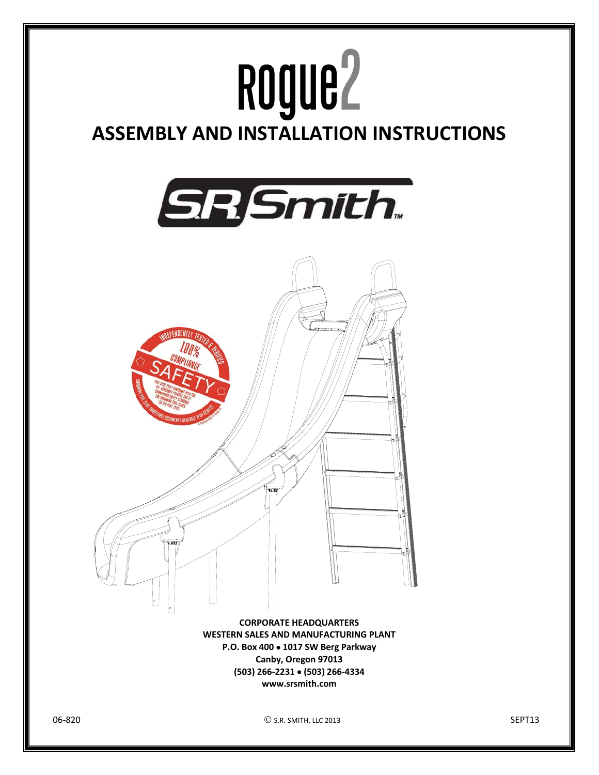

**(503) 266‐2231 (503) 266‐4334 www.srsmith.com**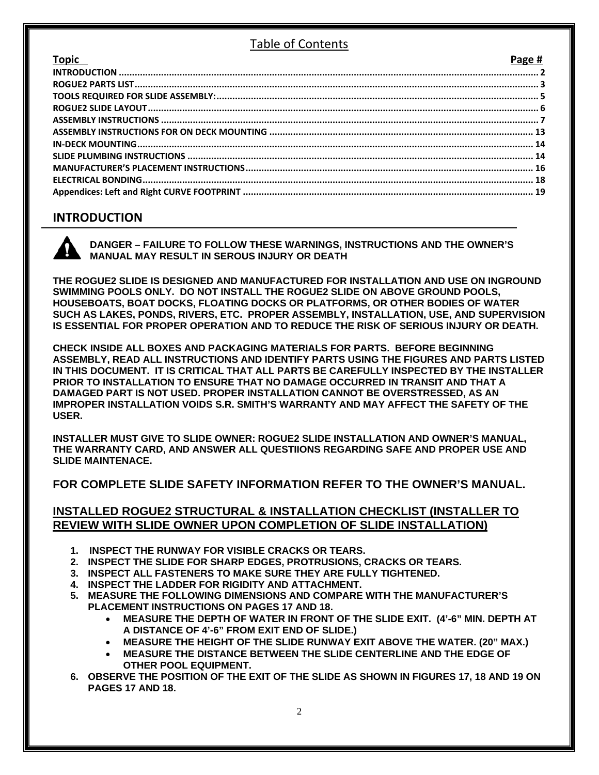### Table of Contents

| <b>Topic</b> | Page # |
|--------------|--------|
|              |        |
|              |        |
|              |        |
|              |        |
|              |        |
|              |        |
|              |        |
|              |        |
|              |        |
|              |        |
|              |        |
|              |        |

## **INTRODUCTION**

**DANGER – FAILURE TO FOLLOW THESE WARNINGS, INSTRUCTIONS AND THE OWNER'S MANUAL MAY RESULT IN SEROUS INJURY OR DEATH** 

**THE ROGUE2 SLIDE IS DESIGNED AND MANUFACTURED FOR INSTALLATION AND USE ON INGROUND SWIMMING POOLS ONLY. DO NOT INSTALL THE ROGUE2 SLIDE ON ABOVE GROUND POOLS, HOUSEBOATS, BOAT DOCKS, FLOATING DOCKS OR PLATFORMS, OR OTHER BODIES OF WATER SUCH AS LAKES, PONDS, RIVERS, ETC. PROPER ASSEMBLY, INSTALLATION, USE, AND SUPERVISION IS ESSENTIAL FOR PROPER OPERATION AND TO REDUCE THE RISK OF SERIOUS INJURY OR DEATH.** 

**CHECK INSIDE ALL BOXES AND PACKAGING MATERIALS FOR PARTS. BEFORE BEGINNING ASSEMBLY, READ ALL INSTRUCTIONS AND IDENTIFY PARTS USING THE FIGURES AND PARTS LISTED IN THIS DOCUMENT. IT IS CRITICAL THAT ALL PARTS BE CAREFULLY INSPECTED BY THE INSTALLER PRIOR TO INSTALLATION TO ENSURE THAT NO DAMAGE OCCURRED IN TRANSIT AND THAT A DAMAGED PART IS NOT USED. PROPER INSTALLATION CANNOT BE OVERSTRESSED, AS AN IMPROPER INSTALLATION VOIDS S.R. SMITH'S WARRANTY AND MAY AFFECT THE SAFETY OF THE USER.** 

**INSTALLER MUST GIVE TO SLIDE OWNER: ROGUE2 SLIDE INSTALLATION AND OWNER'S MANUAL, THE WARRANTY CARD, AND ANSWER ALL QUESTIIONS REGARDING SAFE AND PROPER USE AND SLIDE MAINTENACE.** 

**FOR COMPLETE SLIDE SAFETY INFORMATION REFER TO THE OWNER'S MANUAL.** 

#### **INSTALLED ROGUE2 STRUCTURAL & INSTALLATION CHECKLIST (INSTALLER TO REVIEW WITH SLIDE OWNER UPON COMPLETION OF SLIDE INSTALLATION)**

- **1. INSPECT THE RUNWAY FOR VISIBLE CRACKS OR TEARS.**
- **2. INSPECT THE SLIDE FOR SHARP EDGES, PROTRUSIONS, CRACKS OR TEARS.**
- **3. INSPECT ALL FASTENERS TO MAKE SURE THEY ARE FULLY TIGHTENED.**
- **4. INSPECT THE LADDER FOR RIGIDITY AND ATTACHMENT.**
- **5. MEASURE THE FOLLOWING DIMENSIONS AND COMPARE WITH THE MANUFACTURER'S PLACEMENT INSTRUCTIONS ON PAGES 17 AND 18.** 
	- **MEASURE THE DEPTH OF WATER IN FRONT OF THE SLIDE EXIT. (4'-6" MIN. DEPTH AT A DISTANCE OF 4'-6" FROM EXIT END OF SLIDE.)**
	- **MEASURE THE HEIGHT OF THE SLIDE RUNWAY EXIT ABOVE THE WATER. (20" MAX.)**
	- **MEASURE THE DISTANCE BETWEEN THE SLIDE CENTERLINE AND THE EDGE OF OTHER POOL EQUIPMENT.**
- **6. OBSERVE THE POSITION OF THE EXIT OF THE SLIDE AS SHOWN IN FIGURES 17, 18 AND 19 ON PAGES 17 AND 18.**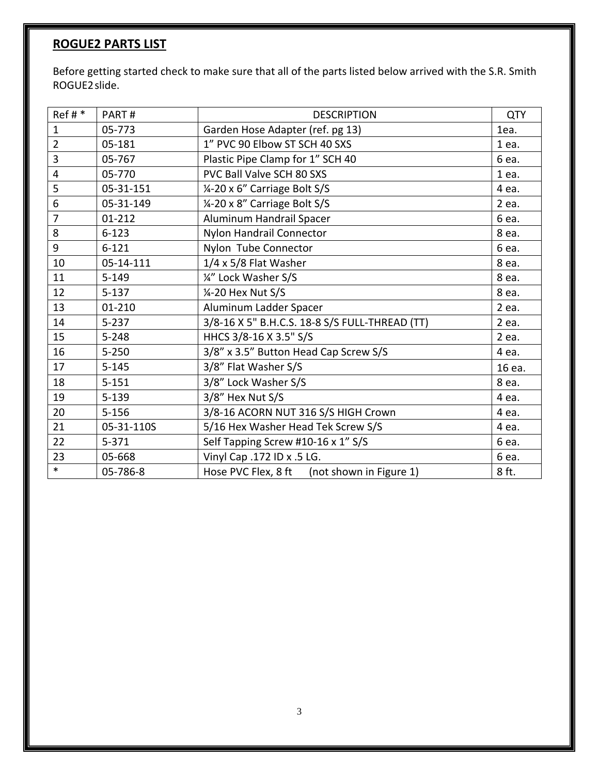## **ROGUE2 PARTS LIST**

Before getting started check to make sure that all of the parts listed below arrived with the S.R. Smith ROGUE2slide.

| $Ref#*$        | PART#      | <b>DESCRIPTION</b>                             |         |
|----------------|------------|------------------------------------------------|---------|
| $\mathbf{1}$   | 05-773     | Garden Hose Adapter (ref. pg 13)               |         |
| $\overline{2}$ | 05-181     | 1" PVC 90 Elbow ST SCH 40 SXS                  |         |
| $\overline{3}$ | 05-767     | Plastic Pipe Clamp for 1" SCH 40               | 6 ea.   |
| $\overline{4}$ | 05-770     | PVC Ball Valve SCH 80 SXS                      | $1$ ea. |
| 5              | 05-31-151  | 1/4-20 x 6" Carriage Bolt S/S                  | 4 ea.   |
| 6              | 05-31-149  | 1/4-20 x 8" Carriage Bolt S/S                  | 2 ea.   |
| $\overline{7}$ | $01 - 212$ | Aluminum Handrail Spacer                       | 6 ea.   |
| 8              | $6 - 123$  | Nylon Handrail Connector                       | 8 ea.   |
| 9              | $6 - 121$  | Nylon Tube Connector                           | 6 ea.   |
| 10             | 05-14-111  | 1/4 x 5/8 Flat Washer                          | 8 ea.   |
| 11             | $5 - 149$  | 1/4" Lock Washer S/S                           | 8 ea.   |
| 12             | $5 - 137$  | 1/4-20 Hex Nut S/S                             | 8 ea.   |
| 13             | 01-210     | Aluminum Ladder Spacer                         | 2 ea.   |
| 14             | $5 - 237$  | 3/8-16 X 5" B.H.C.S. 18-8 S/S FULL-THREAD (TT) | 2 ea.   |
| 15             | $5 - 248$  | HHCS 3/8-16 X 3.5" S/S                         | 2 ea.   |
| 16             | $5 - 250$  | 3/8" x 3.5" Button Head Cap Screw S/S          | 4 ea.   |
| 17             | $5 - 145$  | 3/8" Flat Washer S/S                           | 16 ea.  |
| 18             | $5 - 151$  | 3/8" Lock Washer S/S                           | 8 ea.   |
| 19             | $5 - 139$  | 3/8" Hex Nut S/S                               | 4 ea.   |
| 20             | $5 - 156$  | 3/8-16 ACORN NUT 316 S/S HIGH Crown            | 4 ea.   |
| 21             | 05-31-110S | 5/16 Hex Washer Head Tek Screw S/S             | 4 ea.   |
| 22             | $5 - 371$  | Self Tapping Screw #10-16 x 1" S/S             | 6 ea.   |
| 23             | 05-668     | Vinyl Cap .172 ID x .5 LG.                     |         |
| $\ast$         | 05-786-8   | Hose PVC Flex, 8 ft<br>(not shown in Figure 1) | 8 ft.   |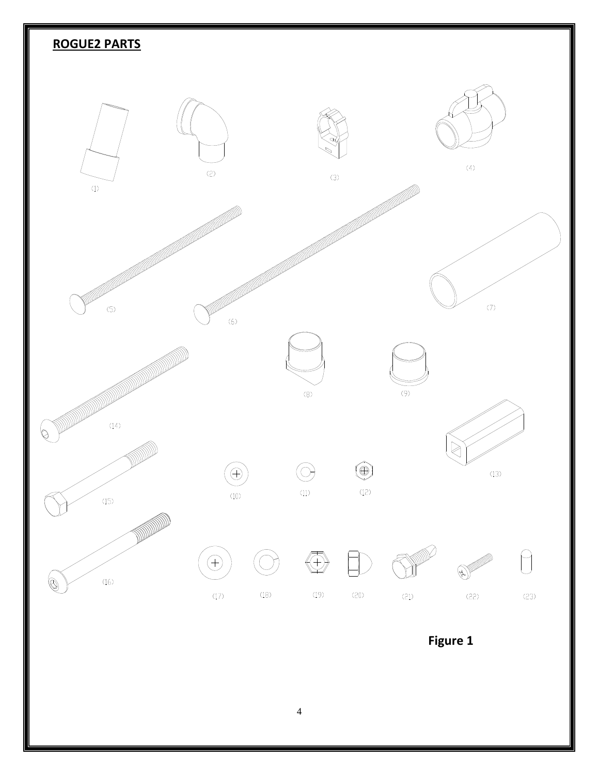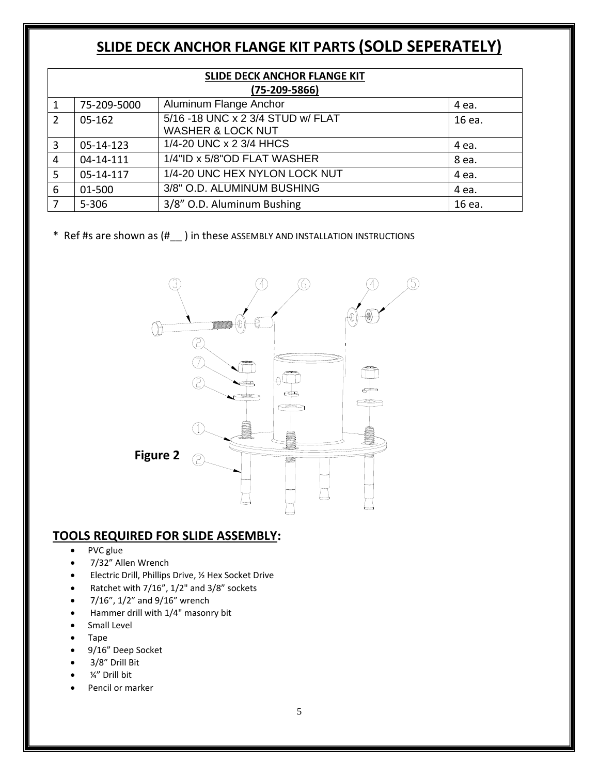# **SLIDE DECK ANCHOR FLANGE KIT PARTS (SOLD SEPERATELY)**

| SLIDE DECK ANCHOR FLANGE KIT<br>$(75-209-5866)$ |             |                                                                   |        |  |
|-------------------------------------------------|-------------|-------------------------------------------------------------------|--------|--|
| 1                                               | 75-209-5000 | Aluminum Flange Anchor                                            | 4 ea.  |  |
| 2                                               | 05-162      | 5/16 -18 UNC x 2 3/4 STUD w/ FLAT<br><b>WASHER &amp; LOCK NUT</b> | 16 ea. |  |
| 3                                               | 05-14-123   | 1/4-20 UNC x 2 3/4 HHCS                                           | 4 ea.  |  |
| 4                                               | 04-14-111   | 1/4"ID x 5/8"OD FLAT WASHER                                       | 8 ea.  |  |
| 5                                               | 05-14-117   | 1/4-20 UNC HEX NYLON LOCK NUT                                     | 4 ea.  |  |
| 6                                               | 01-500      | 3/8" O.D. ALUMINUM BUSHING                                        | 4 ea.  |  |
| 7                                               | $5 - 306$   | 3/8" O.D. Aluminum Bushing                                        | 16 ea. |  |

\* Ref #s are shown as (#\_\_ ) in these ASSEMBLY AND INSTALLATION INSTRUCTIONS



#### **TOOLS REQUIRED FOR SLIDE ASSEMBLY:**

- PVC glue
- 7/32" Allen Wrench
- **Electric Drill, Phillips Drive, 1/2 Hex Socket Drive**
- Ratchet with 7/16", 1/2" and 3/8" sockets
- 7/16", 1/2" and 9/16" wrench
- Hammer drill with 1/4" masonry bit
- Small Level
- Tape
- 9/16" Deep Socket
- 3/8" Drill Bit
- ¼" Drill bit
- Pencil or marker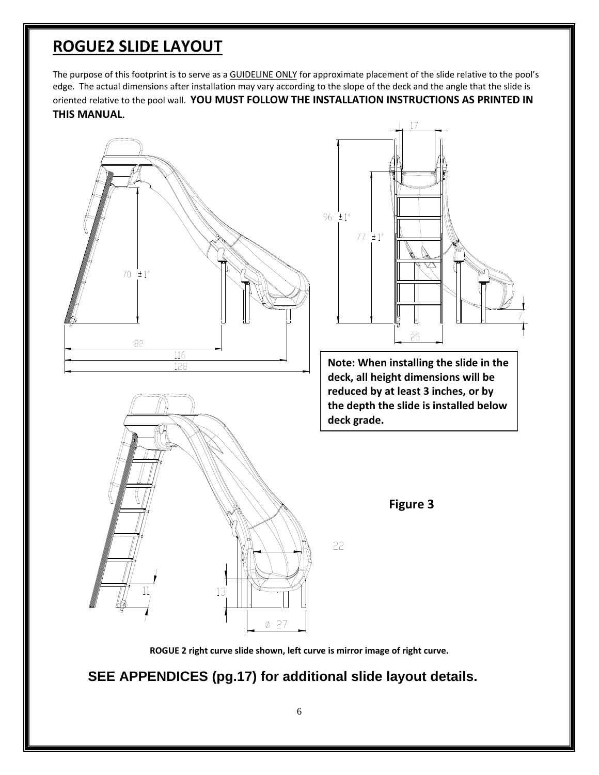## **ROGUE2 SLIDE LAYOUT**

The purpose of this footprint is to serve as a GUIDELINE ONLY for approximate placement of the slide relative to the pool's edge. The actual dimensions after installation may vary according to the slope of the deck and the angle that the slide is oriented relative to the pool wall. **YOU MUST FOLLOW THE INSTALLATION INSTRUCTIONS AS PRINTED IN THIS MANUAL**.



**ROGUE 2 right curve slide shown, left curve is mirror image of right curve.**

**SEE APPENDICES (pg.17) for additional slide layout details.**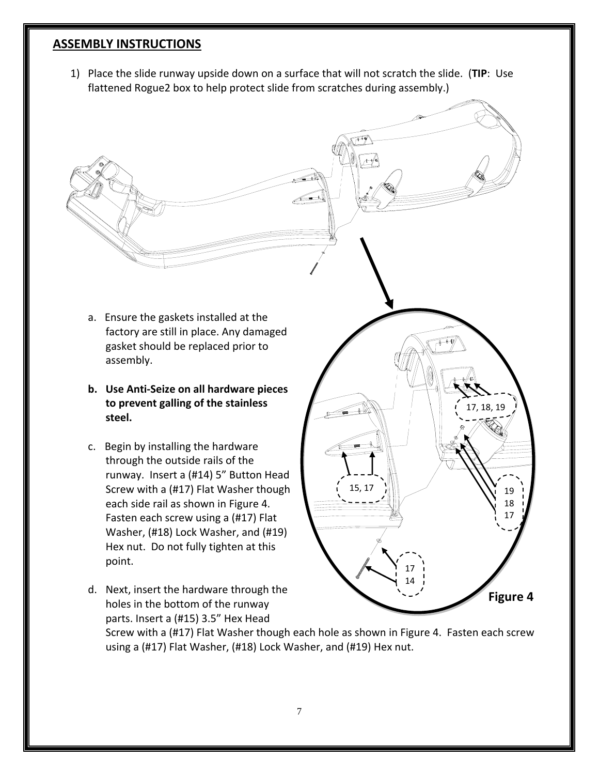#### **ASSEMBLY INSTRUCTIONS**

1) Place the slide runway upside down on a surface that will not scratch the slide. (**TIP**: Use flattened Rogue2 box to help protect slide from scratches during assembly.)

- a. Ensure the gaskets installed at the factory are still in place. Any damaged gasket should be replaced prior to assembly.
- **b. Use Anti‐Seize on all hardware pieces to prevent galling of the stainless steel.**
- c. Begin by installing the hardware through the outside rails of the runway. Insert a (#14) 5" Button Head Screw with a (#17) Flat Washer though each side rail as shown in Figure 4. Fasten each screw using a (#17) Flat Washer, (#18) Lock Washer, and (#19) Hex nut. Do not fully tighten at this point.
- d. Next, insert the hardware through the holes in the bottom of the runway parts. Insert a (#15) 3.5" Hex Head

Screw with a (#17) Flat Washer though each hole as shown in Figure 4. Fasten each screw using a (#17) Flat Washer, (#18) Lock Washer, and (#19) Hex nut.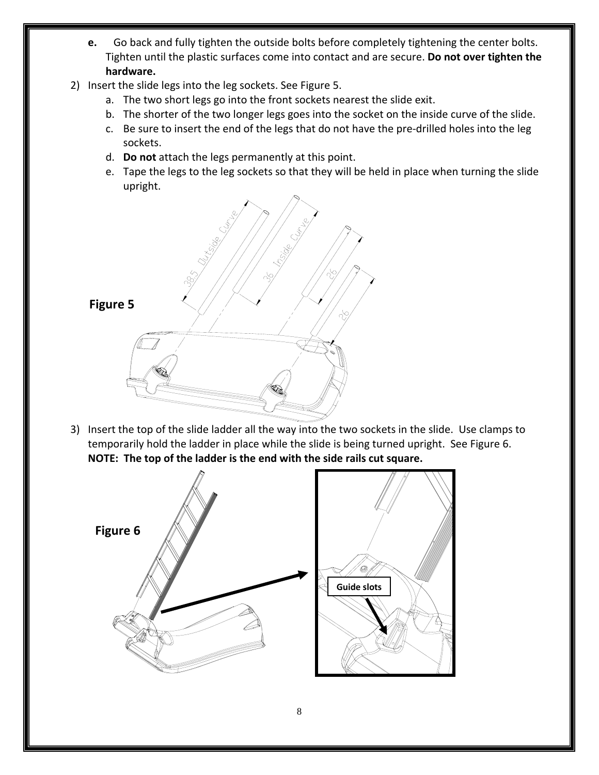- **e.** Go back and fully tighten the outside bolts before completely tightening the center bolts. Tighten until the plastic surfaces come into contact and are secure. **Do not over tighten the hardware.**
- 2) Insert the slide legs into the leg sockets. See Figure 5.
	- a. The two short legs go into the front sockets nearest the slide exit.
	- b. The shorter of the two longer legs goes into the socket on the inside curve of the slide.
	- c. Be sure to insert the end of the legs that do not have the pre‐drilled holes into the leg sockets.
	- d. **Do not** attach the legs permanently at this point.
	- e. Tape the legs to the leg sockets so that they will be held in place when turning the slide upright.



3) Insert the top of the slide ladder all the way into the two sockets in the slide. Use clamps to temporarily hold the ladder in place while the slide is being turned upright. See Figure 6. **NOTE: The top of the ladder is the end with the side rails cut square.** 

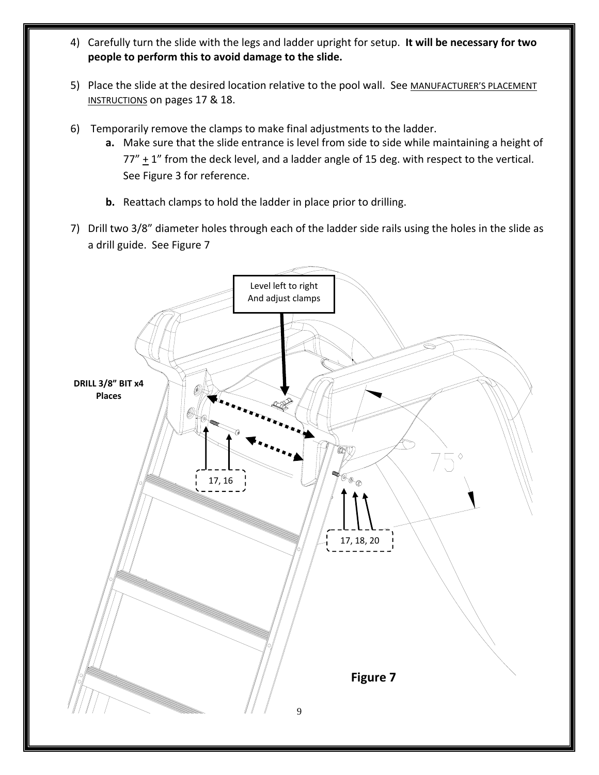- 4) Carefully turn the slide with the legs and ladder upright for setup. **It will be necessary for two people to perform this to avoid damage to the slide.**
- 5) Place the slide at the desired location relative to the pool wall. See MANUFACTURER'S PLACEMENT INSTRUCTIONS on pages 17 & 18.
- 6) Temporarily remove the clamps to make final adjustments to the ladder.
	- **a.** Make sure that the slide entrance is level from side to side while maintaining a height of  $77'' + 1''$  from the deck level, and a ladder angle of 15 deg. with respect to the vertical. See Figure 3 for reference.
	- **b.** Reattach clamps to hold the ladder in place prior to drilling.
- 7) Drill two 3/8" diameter holes through each of the ladder side rails using the holes in the slide as a drill guide. See Figure 7

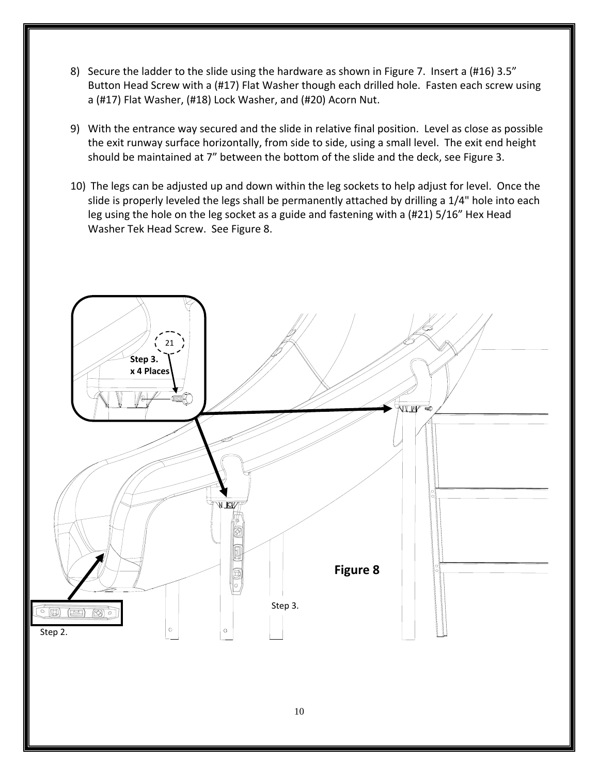- 8) Secure the ladder to the slide using the hardware as shown in Figure 7. Insert a (#16) 3.5" Button Head Screw with a (#17) Flat Washer though each drilled hole. Fasten each screw using a (#17) Flat Washer, (#18) Lock Washer, and (#20) Acorn Nut.
- 9) With the entrance way secured and the slide in relative final position. Level as close as possible the exit runway surface horizontally, from side to side, using a small level. The exit end height should be maintained at 7" between the bottom of the slide and the deck, see Figure 3.
- 10) The legs can be adjusted up and down within the leg sockets to help adjust for level. Once the slide is properly leveled the legs shall be permanently attached by drilling a 1/4" hole into each leg using the hole on the leg socket as a guide and fastening with a (#21) 5/16" Hex Head Washer Tek Head Screw. See Figure 8.

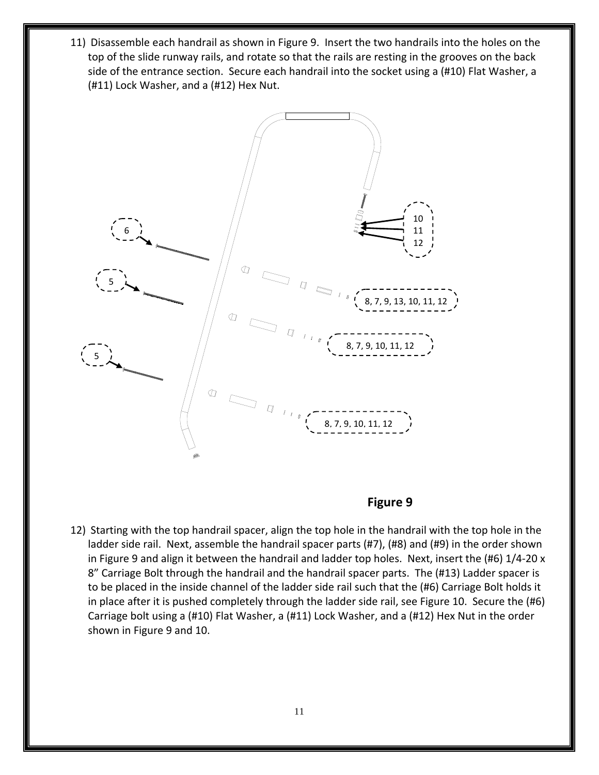11) Disassemble each handrail as shown in Figure 9. Insert the two handrails into the holes on the top of the slide runway rails, and rotate so that the rails are resting in the grooves on the back side of the entrance section. Secure each handrail into the socket using a (#10) Flat Washer, a (#11) Lock Washer, and a (#12) Hex Nut.



#### **Figure 9**

12) Starting with the top handrail spacer, align the top hole in the handrail with the top hole in the ladder side rail. Next, assemble the handrail spacer parts (#7), (#8) and (#9) in the order shown in Figure 9 and align it between the handrail and ladder top holes. Next, insert the (#6) 1/4‐20 x 8" Carriage Bolt through the handrail and the handrail spacer parts. The (#13) Ladder spacer is to be placed in the inside channel of the ladder side rail such that the (#6) Carriage Bolt holds it in place after it is pushed completely through the ladder side rail, see Figure 10. Secure the (#6) Carriage bolt using a (#10) Flat Washer, a (#11) Lock Washer, and a (#12) Hex Nut in the order shown in Figure 9 and 10.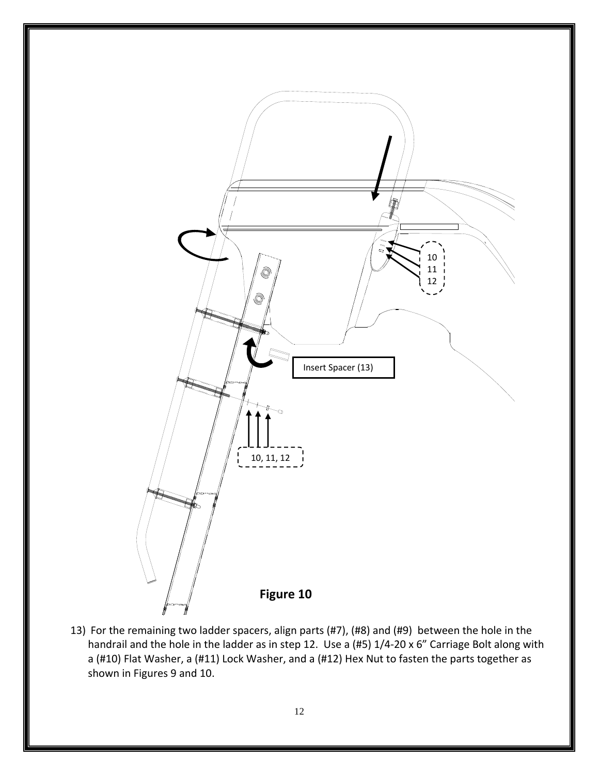

handrail and the hole in the ladder as in step 12. Use a (#5) 1/4-20 x 6" Carriage Bolt along with a (#10) Flat Washer, a (#11) Lock Washer, and a (#12) Hex Nut to fasten the parts together as shown in Figures 9 and 10.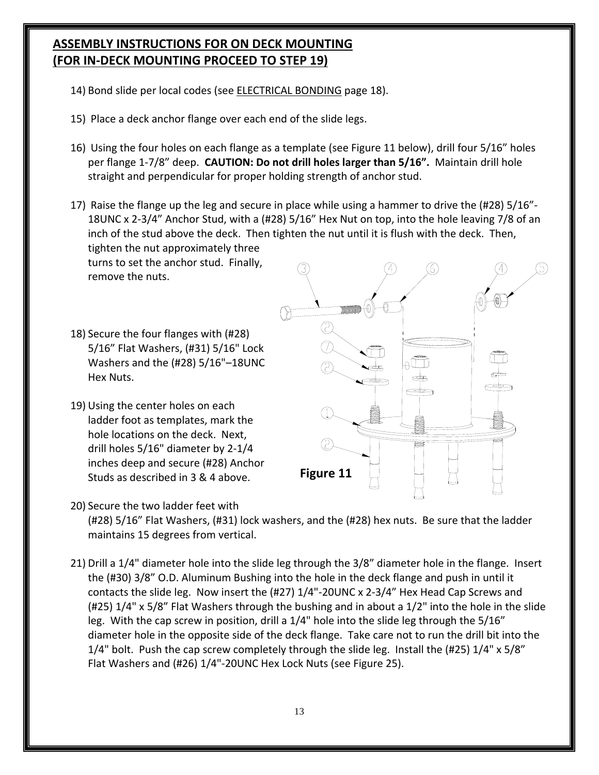### **ASSEMBLY INSTRUCTIONS FOR ON DECK MOUNTING (FOR IN‐DECK MOUNTING PROCEED TO STEP 19)**

- 14) Bond slide per local codes (see ELECTRICAL BONDING page 18).
- 15) Place a deck anchor flange over each end of the slide legs.
- 16) Using the four holes on each flange as a template (see Figure 11 below), drill four 5/16" holes per flange 1‐7/8" deep. **CAUTION: Do not drill holes larger than 5/16".** Maintain drill hole straight and perpendicular for proper holding strength of anchor stud.
- 17) Raise the flange up the leg and secure in place while using a hammer to drive the (#28) 5/16"‐ 18UNC x 2‐3/4" Anchor Stud, with a (#28) 5/16" Hex Nut on top, into the hole leaving 7/8 of an inch of the stud above the deck. Then tighten the nut until it is flush with the deck. Then, tighten the nut approximately three

turns to set the anchor stud. Finally, remove the nuts.

- 18) Secure the four flanges with (#28) 5/16" Flat Washers, (#31) 5/16" Lock Washers and the (#28) 5/16"–18UNC Hex Nuts.
- 19) Using the center holes on each ladder foot as templates, mark the hole locations on the deck. Next, drill holes 5/16" diameter by 2‐1/4 inches deep and secure (#28) Anchor Studs as described in 3 & 4 above.



20) Secure the two ladder feet with (#28) 5/16" Flat Washers, (#31) lock washers, and the (#28) hex nuts. Be sure that the ladder maintains 15 degrees from vertical.

21) Drill a 1/4" diameter hole into the slide leg through the 3/8" diameter hole in the flange. Insert the (#30) 3/8" O.D. Aluminum Bushing into the hole in the deck flange and push in until it contacts the slide leg. Now insert the (#27) 1/4"‐20UNC x 2‐3/4" Hex Head Cap Screws and (#25) 1/4" x 5/8" Flat Washers through the bushing and in about a 1/2" into the hole in the slide leg. With the cap screw in position, drill a 1/4" hole into the slide leg through the 5/16" diameter hole in the opposite side of the deck flange. Take care not to run the drill bit into the  $1/4$ " bolt. Push the cap screw completely through the slide leg. Install the (#25)  $1/4$ " x 5/8" Flat Washers and (#26) 1/4"‐20UNC Hex Lock Nuts (see Figure 25).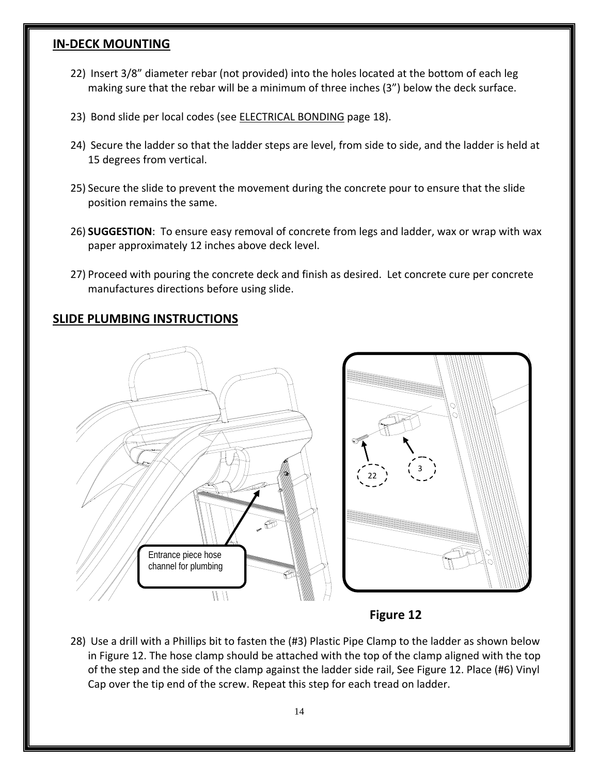#### **IN‐DECK MOUNTING**

- 22) Insert 3/8" diameter rebar (not provided) into the holes located at the bottom of each leg making sure that the rebar will be a minimum of three inches (3") below the deck surface.
- 23) Bond slide per local codes (see **ELECTRICAL BONDING** page 18).
- 24) Secure the ladder so that the ladder steps are level, from side to side, and the ladder is held at 15 degrees from vertical.
- 25) Secure the slide to prevent the movement during the concrete pour to ensure that the slide position remains the same.
- 26) **SUGGESTION**: To ensure easy removal of concrete from legs and ladder, wax or wrap with wax paper approximately 12 inches above deck level.
- 27) Proceed with pouring the concrete deck and finish as desired. Let concrete cure per concrete manufactures directions before using slide.

#### **SLIDE PLUMBING INSTRUCTIONS**



**Figure 12**

28) Use a drill with a Phillips bit to fasten the (#3) Plastic Pipe Clamp to the ladder as shown below in Figure 12. The hose clamp should be attached with the top of the clamp aligned with the top of the step and the side of the clamp against the ladder side rail, See Figure 12. Place (#6) Vinyl Cap over the tip end of the screw. Repeat this step for each tread on ladder.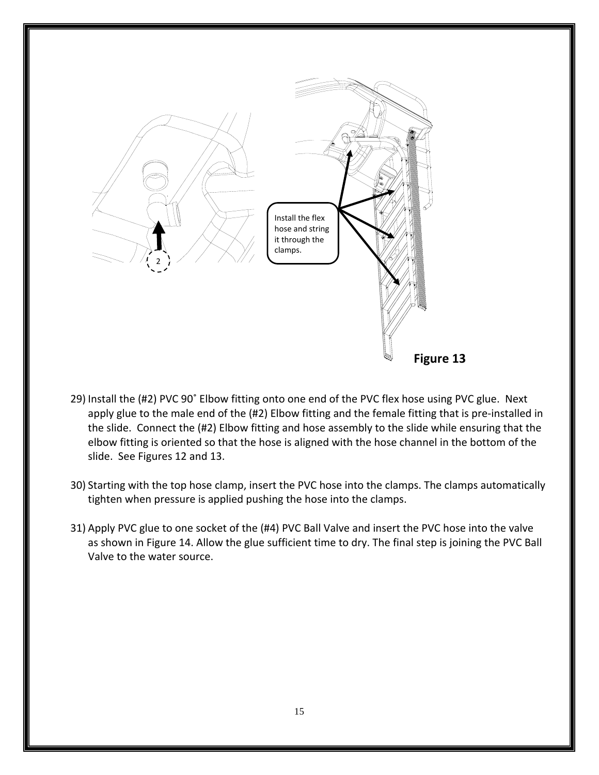

- 29) Install the (#2) PVC 90˚ Elbow fitting onto one end of the PVC flex hose using PVC glue. Next apply glue to the male end of the (#2) Elbow fitting and the female fitting that is pre-installed in the slide. Connect the (#2) Elbow fitting and hose assembly to the slide while ensuring that the elbow fitting is oriented so that the hose is aligned with the hose channel in the bottom of the slide. See Figures 12 and 13.
- 30) Starting with the top hose clamp, insert the PVC hose into the clamps. The clamps automatically tighten when pressure is applied pushing the hose into the clamps.
- 31) Apply PVC glue to one socket of the (#4) PVC Ball Valve and insert the PVC hose into the valve as shown in Figure 14. Allow the glue sufficient time to dry. The final step is joining the PVC Ball Valve to the water source.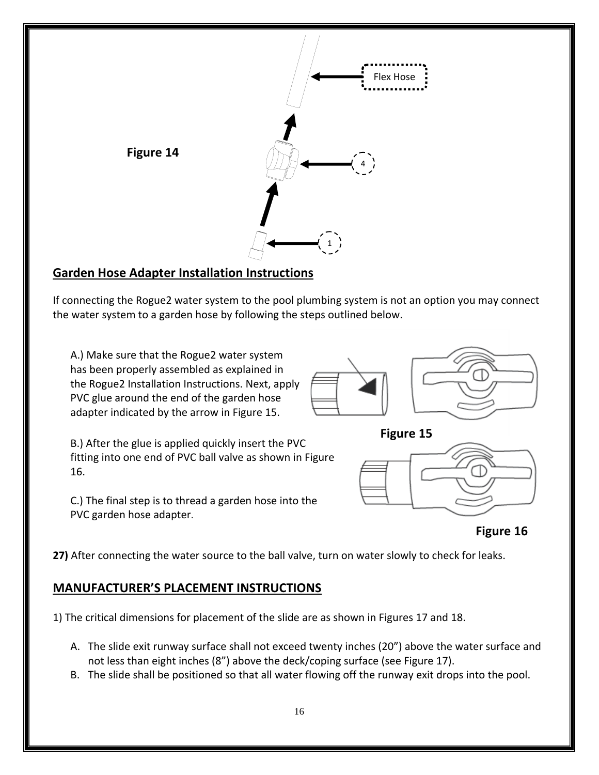

## **Garden Hose Adapter Installation Instructions**

If connecting the Rogue2 water system to the pool plumbing system is not an option you may connect the water system to a garden hose by following the steps outlined below.

A.) Make sure that the Rogue2 water system has been properly assembled as explained in the Rogue2 Installation Instructions. Next, apply PVC glue around the end of the garden hose adapter indicated by the arrow in Figure 15.





B.) After the glue is applied quickly insert the PVC fitting into one end of PVC ball valve as shown in Figure 16.

C.) The final step is to thread a garden hose into the PVC garden hose adapter.





**Figure 16**

**27)** After connecting the water source to the ball valve, turn on water slowly to check for leaks.

## **MANUFACTURER'S PLACEMENT INSTRUCTIONS**

1) The critical dimensions for placement of the slide are as shown in Figures 17 and 18.

- A. The slide exit runway surface shall not exceed twenty inches (20") above the water surface and not less than eight inches (8") above the deck/coping surface (see Figure 17).
- B. The slide shall be positioned so that all water flowing off the runway exit drops into the pool.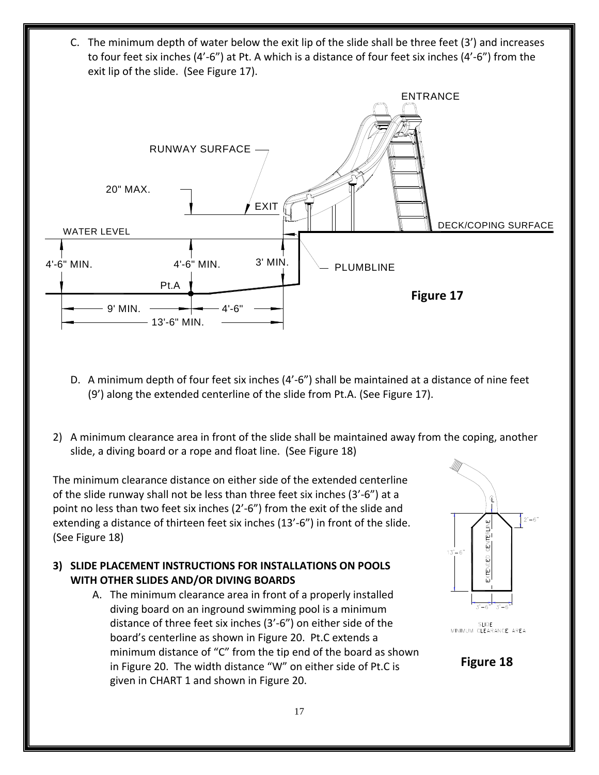C. The minimum depth of water below the exit lip of the slide shall be three feet (3') and increases to four feet six inches (4'‐6") at Pt. A which is a distance of four feet six inches (4'‐6") from the exit lip of the slide. (See Figure 17).



- D. A minimum depth of four feet six inches (4'‐6") shall be maintained at a distance of nine feet (9') along the extended centerline of the slide from Pt.A. (See Figure 17).
- 2) A minimum clearance area in front of the slide shall be maintained away from the coping, another slide, a diving board or a rope and float line. (See Figure 18)

The minimum clearance distance on either side of the extended centerline of the slide runway shall not be less than three feet six inches (3'‐6") at a point no less than two feet six inches (2'‐6") from the exit of the slide and extending a distance of thirteen feet six inches (13'-6") in front of the slide. (See Figure 18)

- **3) SLIDE PLACEMENT INSTRUCTIONS FOR INSTALLATIONS ON POOLS WITH OTHER SLIDES AND/OR DIVING BOARDS**
	- A. The minimum clearance area in front of a properly installed diving board on an inground swimming pool is a minimum distance of three feet six inches (3'‐6") on either side of the board's centerline as shown in Figure 20. Pt.C extends a minimum distance of "C" from the tip end of the board as shown in Figure 20. The width distance "W" on either side of Pt.C is given in CHART 1 and shown in Figure 20.



SLIDE<br>MINIMUM CLEARANCE AREA

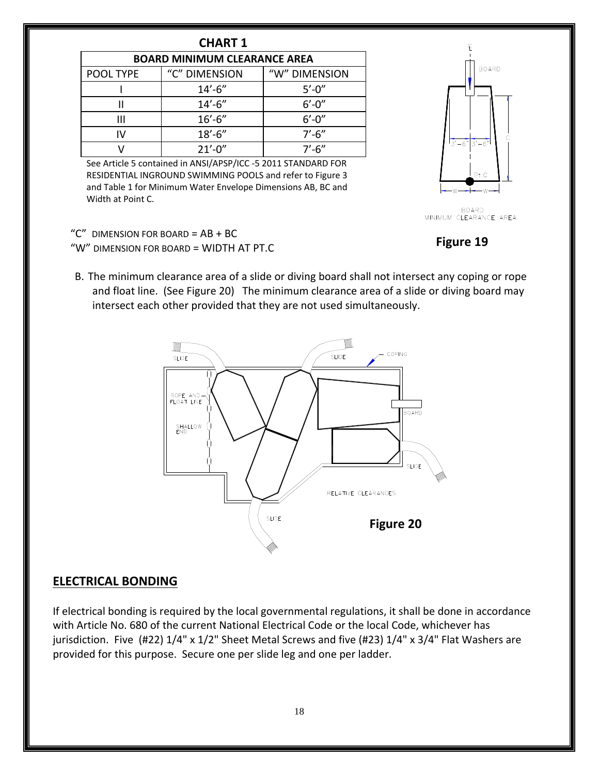| <b>HART</b> |  |
|-------------|--|
|-------------|--|

| <b>BOARD MINIMUM CLEARANCE AREA</b> |               |               |  |  |
|-------------------------------------|---------------|---------------|--|--|
| POOL TYPE                           | "C" DIMENSION | "W" DIMENSION |  |  |
|                                     | $14' - 6''$   | $5' - 0''$    |  |  |
|                                     | $14' - 6''$   | $6' - 0''$    |  |  |
| Ш                                   | $16' - 6''$   | $6' - 0''$    |  |  |
| W                                   | $18' - 6''$   | $7'$ -6"      |  |  |
|                                     | $21' - 0''$   | $7'$ -6"      |  |  |

See Article 5 contained in ANSI/APSP/ICC ‐5 2011 STANDARD FOR RESIDENTIAL INGROUND SWIMMING POOLS and refer to Figure 3 and Table 1 for Minimum Water Envelope Dimensions AB, BC and Width at Point C.



BOARD<br>MINIMUM CLEARANCE AREA

**Figure 19**

- " $C$ " DIMENSION FOR BOARD =  $AB + BC$ "W" DIMENSION FOR BOARD = WIDTH AT PT.C
	-
- B. The minimum clearance area of a slide or diving board shall not intersect any coping or rope and float line. (See Figure 20) The minimum clearance area of a slide or diving board may intersect each other provided that they are not used simultaneously.



#### **ELECTRICAL BONDING**

If electrical bonding is required by the local governmental regulations, it shall be done in accordance with Article No. 680 of the current National Electrical Code or the local Code, whichever has jurisdiction. Five (#22) 1/4" x 1/2" Sheet Metal Screws and five (#23) 1/4" x 3/4" Flat Washers are provided for this purpose. Secure one per slide leg and one per ladder.